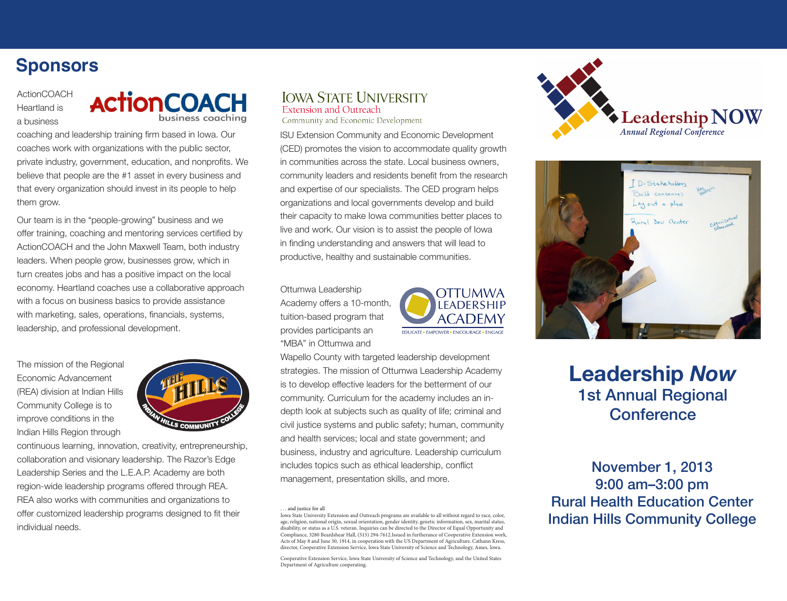# **Sponsors**

ActionCOACH Heartland is a business



coaching and leadership training firm based in Iowa. Our coaches work with organizations with the public sector, private industry, government, education, and nonprofits. We believe that people are the #1 asset in every business and that every organization should invest in its people to help them grow.

Our team is in the "people-growing" business and we offer training, coaching and mentoring services certified by ActionCOACH and the John Maxwell Team, both industry leaders. When people grow, businesses grow, which in turn creates jobs and has a positive impact on the local economy. Heartland coaches use a collaborative approach with a focus on business basics to provide assistance with marketing, sales, operations, financials, systems, leadership, and professional development.

The mission of the Regional Economic Advancement (REA) division at Indian Hills Community College is to improve conditions in the Indian Hills Region through



continuous learning, innovation, creativity, entrepreneurship, collaboration and visionary leadership. The Razor's Edge Leadership Series and the L.E.A.P. Academy are both region-wide leadership programs offered through REA. REA also works with communities and organizations to offer customized leadership programs designed to fit their individual needs.

### **IOWA STATE UNIVERSITY Extension and Outreach**

Community and Economic Development

ISU Extension Community and Economic Development (CED) promotes the vision to accommodate quality growth in communities across the state. Local business owners, community leaders and residents benefit from the research and expertise of our specialists. The CED program helps organizations and local governments develop and build their capacity to make Iowa communities better places to live and work. Our vision is to assist the people of Iowa in finding understanding and answers that will lead to productive, healthy and sustainable communities.

Ottumwa Leadership Academy offers a 10-month, tuition-based program that provides participants an "MBA" in Ottumwa and



Wapello County with targeted leadership development strategies. The mission of Ottumwa Leadership Academy is to develop effective leaders for the betterment of our community. Curriculum for the academy includes an indepth look at subjects such as quality of life; criminal and civil justice systems and public safety; human, community and health services; local and state government; and business, industry and agriculture. Leadership curriculum includes topics such as ethical leadership, conflict management, presentation skills, and more.

... and justice for all





# **Leadership** *Now* 1st Annual Regional **Conference**

November 1, 2013 9:00 am–3:00 pm Rural Health Education Center Indian Hills Community College

Iowa State University Extension and Outreach programs are available to all without regard to race, color, age, religion, national origin, sexual orientation, gender identity, genetic information, sex, marital status, disability, or status as a U.S. veteran. Inquiries can be directed to the Director of Equal Opportunity and Compliance, 3280 Beardshear Hall, (515) 294-7612.Issued in furtherance of Cooperative Extension work, Acts of May 8 and June 30, 1914, in cooperation with the US Department of Agriculture. Cathann Kress, director, Cooperative Extension Service, Iowa State University of Science and Technology, Ames, Iowa.

Cooperative Extension Service, Iowa State University of Science and Technology, and the United States Department of Agriculture cooperating.